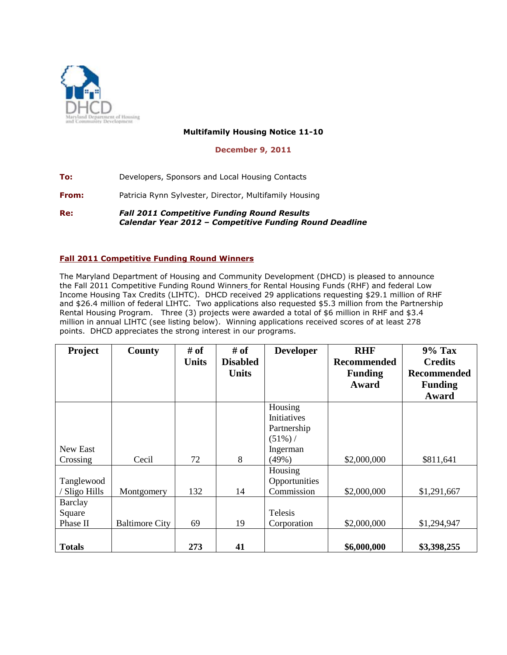

## **Multifamily Housing Notice 11-10**

## **December 9, 2011**

**To:** Developers, Sponsors and Local Housing Contacts

**From:** Patricia Rynn Sylvester, Director, Multifamily Housing

**Re:** *Fall 2011 Competitive Funding Round Results Calendar Year 2012 – Competitive Funding Round Deadline*

## **Fall 2011 Competitive Funding Round Winners**

The Maryland Department of Housing and Community Development (DHCD) is pleased to announce the Fall 2011 Competitive Funding Round Winners for Rental Housing Funds (RHF) and federal Low Income Housing Tax Credits (LIHTC). DHCD received 29 applications requesting \$29.1 million of RHF and \$26.4 million of federal LIHTC. Two applications also requested \$5.3 million from the Partnership Rental Housing Program. Three (3) projects were awarded a total of \$6 million in RHF and \$3.4 million in annual LIHTC (see listing below). Winning applications received scores of at least 278 points. DHCD appreciates the strong interest in our programs.

| Project        | <b>County</b>         | # of         | # of            | <b>Developer</b> | <b>RHF</b>         | <b>9% Tax</b>      |
|----------------|-----------------------|--------------|-----------------|------------------|--------------------|--------------------|
|                |                       | <b>Units</b> | <b>Disabled</b> |                  | <b>Recommended</b> | <b>Credits</b>     |
|                |                       |              | <b>Units</b>    |                  | <b>Funding</b>     | <b>Recommended</b> |
|                |                       |              |                 |                  | Award              | <b>Funding</b>     |
|                |                       |              |                 |                  |                    | Award              |
|                |                       |              |                 | Housing          |                    |                    |
|                |                       |              |                 | Initiatives      |                    |                    |
|                |                       |              |                 | Partnership      |                    |                    |
|                |                       |              |                 | $(51\%)$         |                    |                    |
| New East       |                       |              |                 | Ingerman         |                    |                    |
| Crossing       | Cecil                 | 72           | 8               | (49%)            | \$2,000,000        | \$811,641          |
|                |                       |              |                 | Housing          |                    |                    |
| Tanglewood     |                       |              |                 | Opportunities    |                    |                    |
| Sligo Hills    | Montgomery            | 132          | 14              | Commission       | \$2,000,000        | \$1,291,667        |
| <b>Barclay</b> |                       |              |                 |                  |                    |                    |
| Square         |                       |              |                 | Telesis          |                    |                    |
| Phase II       | <b>Baltimore City</b> | 69           | 19              | Corporation      | \$2,000,000        | \$1,294,947        |
|                |                       |              |                 |                  |                    |                    |
| <b>Totals</b>  |                       | 273          | 41              |                  | \$6,000,000        | \$3,398,255        |